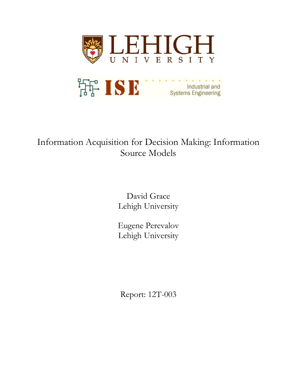

# Information Acquisition for Decision Making: Information Source Models

David Grace Lehigh University

Eugene Perevalov Lehigh University

Report: 12T-003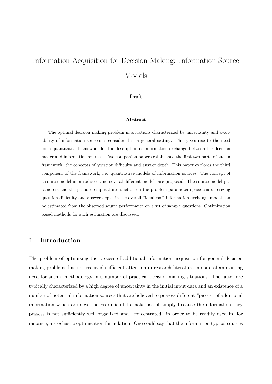# Information Acquisition for Decision Making: Information Source Models

#### Draft

#### **Abstract**

The optimal decision making problem in situations characterized by uncertainty and availability of information sources is considered in a general setting. This gives rise to the need for a quantitative framework for the description of information exchange between the decision maker and information sources. Two companion papers established the first two parts of such a framework: the concepts of question difficulty and answer depth. This paper explores the third component of the framework, i.e. quantitative models of information sources. The concept of a source model is introduced and several different models are proposed. The source model parameters and the pseudo-temperature function on the problem parameter space characterizing question difficulty and answer depth in the overall "ideal gas" information exchange model can be estimated from the observed source performance on a set of sample questions. Optimization based methods for such estimation are discussed.

## **1 Introduction**

The problem of optimizing the process of additional information acquisition for general decision making problems has not received sufficient attention in research literature in spite of an existing need for such a methodology in a number of practical decision making situations. The latter are typically characterized by a high degree of uncertainty in the initial input data and an existence of a number of potential information sources that are believed to possess different "pieces" of additional information which are nevertheless difficult to make use of simply because the information they possess is not sufficiently well organized and "concentrated" in order to be readily used in, for instance, a stochastic optimization formulation. One could say that the information typical sources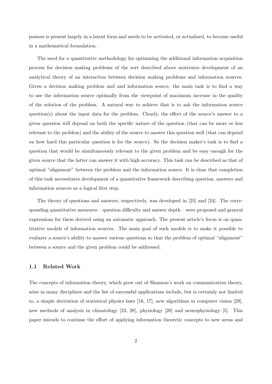possess is present largely in a latent form and needs to be activated, or actualized, to become useful in a mathematical formulation.

The need for a quantitative methodology for optimizing the additional information acquisition process for decision making problems of the sort described above motivates development of an analytical theory of an interaction between decision making problems and information sources. Given a decision making problem and and information source, the main task is to find a way to use the information source optimally from the viewpoint of maximum increase in the quality of the solution of the problem. A natural way to achieve that is to ask the information source question(s) about the input data for the problem. Clearly, the effect of the source's answer to a given question will depend on both the specific nature of the question (that can be more or less relevant to the problem) and the ability of the source to answer this question well (that can depend on how hard this particular question is for the source). So the decision maker's task is to find a question that would be simultaneously relevant to the given problem and be easy enough for the given source that the latter can answer it with high accuracy. This task can be described as that of optimal "alignment" between the problem and the information source. It is clear that completion of this task necessitates development of a quantitative framework describing question, answers and information sources as a logical first step.

The theory of questions and answers, respectively, was developed in [25] and [24]. The corresponding quantitative measures – question difficulty and answer depth – were proposed and general expressions for them derived using an axiomatic approach. The present article's focus is on quantitative models of information sources. The main goal of such models is to make it possible to evaluate a source's ability to answer various questions so that the problem of optimal "alignment" between a source and the given problem could be addressed.

## **1.1 Related Work**

The concepts of information theory, which grew out of Shannon's work on communication theory, arise in many disciplines and the list of successful applications include, but is certainly not limited to, a simple derivation of statistical physics laws [16, 17], new algorithms in computer vision [29], new methods of analysis in climatology [23, 28], physiology [20] and neurophysiology [5]. This paper intends to continue the effort of applying information theoretic concepts to new areas and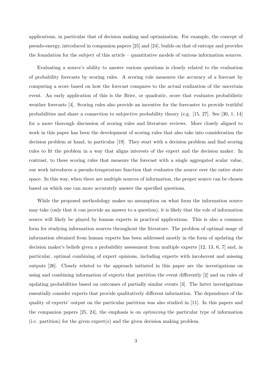applications, in particular that of decision making and optimization. For example, the concept of pseudo-energy, introduced in companion papers [25] and [24], builds on that of entropy and provides the foundation for the subject of this article – quantitative models of various information sources.

Evaluating a source's ability to answer various questions is closely related to the evaluation of probability forecasts by scoring rules. A scoring rule measures the accuracy of a forecast by computing a score based on how the forecast compares to the actual realization of the uncertain event. An early application of this is the Brier, or quadratic, score that evaluates probabilistic weather forecasts [4]. Scoring rules also provide an incentive for the forecaster to provide truthful probabilities and share a connection to subjective probability theory (e.g. [15, 27]. See [30, 1, 14] for a more thorough discussion of scoring rules and literature reviews. More closely aligned to work in this paper has been the development of scoring rules that also take into consideration the decision problem at hand, in particular [19]. They start with a decision problem and find scoring rules to fit the problem in a way that aligns interests of the expert and the decision maker. In contrast, to these scoring rules that measure the forecast with a single aggregated scalar value, our work introduces a pseudo-temperature function that evaluates the source over the entire state space. In this way, when there are multiple sources of information, the proper source can be chosen based on which one can more accurately answer the specified questions.

While the proposed methodology makes no assumption on what form the information source may take (only that it can provide an answer to a question), it is likely that the role of information source will likely be played by human experts in practical applications. This is also a common form for studying information sources throughout the literature. The problem of optimal usage of information obtained from human experts has been addressed mostly in the form of updating the decision maker's beliefs given a probability assessment from multiple experts [12, 13, 6, 7] and, in particular, optimal combining of expert opinions, including experts with incoherent and missing outputs [26]. Closely related to the approach initiated in this paper are the investigations on using and combining information of experts that partition the event differently [2] and on rules of updating probabilities based on outcomes of partially similar events [3]. The latter investigations essentially consider experts that provide qualitatively different information. The dependence of the quality of experts' output on the particular partition was also studied in [11]. In this papers and the companion papers [25, 24], the emphasis is on *optimizing* the particular type of information (i.e. partition) for the given expert(s) and the given decision making problem.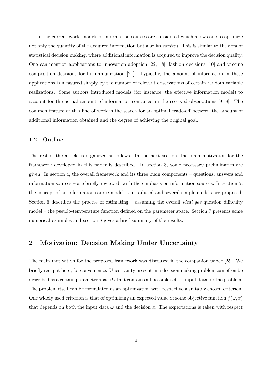In the current work, models of information sources are considered which allows one to optimize not only the quantity of the acquired information but also its *content*. This is similar to the area of statistical decision making, where additional information is acquired to improve the decision quality. One can mention applications to innovation adoption [22, 18], fashion decisions [10] and vaccine composition decisions for flu immunization [21]. Typically, the amount of information in these applications is measured simply by the number of relevant observations of certain random variable realizations. Some authors introduced models (for instance, the effective information model) to account for the actual amount of information contained in the received observations [9, 8]. The common feature of this line of work is the search for an optimal trade-off between the amount of additional information obtained and the degree of achieving the original goal.

### **1.2 Outline**

The rest of the article is organized as follows. In the next section, the main motivation for the framework developed in this paper is described. In section 3, some necessary preliminaries are given. In section 4, the overall framework and its three main components – questions, answers and information sources – are briefly reviewed, with the emphasis on information sources. In section 5, the concept of an information source model is introduced and several simple models are proposed. Section 6 describes the process of estimating – assuming the overall *ideal gas* question difficulty model – the pseudo-temperature function defined on the parameter space. Section 7 presents some numerical examples and section 8 gives a brief summary of the results.

# **2 Motivation: Decision Making Under Uncertainty**

The main motivation for the proposed framework was discussed in the companion paper [25]. We briefly recap it here, for convenience. Uncertainty present in a decision making problem can often be described as a certain parameter space  $\Omega$  that contains all possible sets of input data for the problem. The problem itself can be formulated as an optimization with respect to a suitably chosen criterion. One widely used criterion is that of optimizing an expected value of some objective function  $f(\omega, x)$ that depends on both the input data  $\omega$  and the decision x. The expectations is taken with respect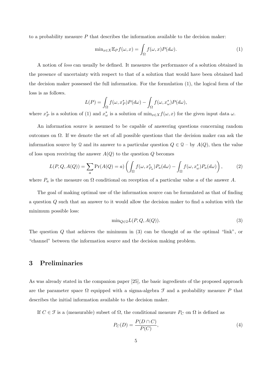to a probability measure *P* that describes the information available to the decision maker:

$$
\min_{x \in X} \mathbb{E}_P f(\omega, x) = \int_{\Omega} f(\omega, x) P(d\omega).
$$
\n(1)

A notion of *loss* can usually be defined. It measures the performance of a solution obtained in the presence of uncertainty with respect to that of a solution that would have been obtained had the decision maker possessed the full information. For the formulation (1), the logical form of the loss is as follows.

$$
L(P) = \int_{\Omega} f(\omega, x_P^*) P(d\omega) - \int_{\Omega} f(\omega, x_{\omega}^*) P(d\omega),
$$

where  $x_P^*$  is a solution of (1) and  $x_{\omega}^*$  is a solution of  $\min_{x \in X} f(\omega, x)$  for the given input data  $\omega$ .

An information source is assumed to be capable of answering questions concerning random outcomes on Ω. If we denote the set of all possible questions that the decision maker can ask the information source by Q and its answer to a particular question  $Q \in \mathcal{Q}$  – by  $A(Q)$ , then the value of loss upon receiving the answer  $A(Q)$  to the question  $Q$  becomes

$$
L(P,Q,A(Q)) = \sum_{a} \Pr(A(Q) = a) \left( \int_{\Omega} f(\omega, x_{Pa}^{*}) P_a(d\omega) - \int_{\Omega} f(\omega, x_{\omega}^{*}) P_a(d\omega) \right), \tag{2}
$$

where  $P_a$  is the measure on  $\Omega$  conditional on reception of a particular value *a* of the answer *A*.

The goal of making optimal use of the information source can be formulated as that of finding a question *Q* such that an answer to it would allow the decision maker to find a solution with the minimum possible loss:

$$
\min_{Q \in \mathcal{Q}} L(P, Q, A(Q)).\tag{3}
$$

The question *Q* that achieves the minimum in (3) can be thought of as the optimal "link", or "channel" between the information source and the decision making problem.

## **3 Preliminaries**

As was already stated in the companion paper [25], the basic ingredients of the proposed approach are the parameter space  $\Omega$  equipped with a sigma-algebra  $\mathcal F$  and a probability measure  $P$  that describes the initial information available to the decision maker.

If  $C \in \mathcal{F}$  is a (measurable) subset of  $\Omega$ , the conditional measure  $P_C$  on  $\Omega$  is defined as

$$
P_C(D) = \frac{P(D \cap C)}{P(C)},\tag{4}
$$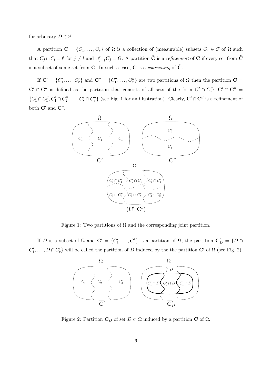for arbitrary  $D \in \mathcal{F}$ .

A partition  $\mathbf{C} = \{C_1, \ldots, C_r\}$  of  $\Omega$  is a collection of (measurable) subsets  $C_j \in \mathcal{F}$  of  $\Omega$  such that  $C_j \cap C_l = \emptyset$  for  $j \neq l$  and  $\cup_{j=1}^r C_j = \Omega$ . A partition  $\tilde{C}$  is a *refinement* of C if every set from  $\tilde{C}$ is a subset of some set from  $C$ . In such a case,  $C$  is a *coarsening* of  $C$ .

If  $\mathbf{C}' = \{C'_1, \ldots, C'_r\}$  and  $\mathbf{C}'' = \{C''_1, \ldots, C''_s\}$  are two partitions of  $\Omega$  then the partition  $\mathbf{C} =$  $\mathbf{C}' \cap \mathbf{C}''$  is defined as the partition that consists of all sets of the form  $C_i' \cap C_j''$ :  $\mathbf{C}' \cap \mathbf{C}'' =$  $\{C'_1 \cap C''_1, C'_1 \cap C''_2, \ldots, C'_r \cap C''_s\}$  (see Fig. 1 for an illustration). Clearly,  $\mathbf{C}' \cap \mathbf{C}''$  is a refinement of both **C***′* and **C***′′* .



Figure 1: Two partitions of  $\Omega$  and the corresponding joint partition.

If *D* is a subset of  $\Omega$  and  $\mathbf{C}' = \{C'_1, \ldots, C'_r\}$  is a partition of  $\Omega$ , the partition  $\mathbf{C}'_D = \{D \cap$  $C'_1, \ldots, D \cap C'_r$  will be called the partition of *D* induced by the the partition **C**<sup>*'*</sup> of  $\Omega$  (see Fig. 2).



Figure 2: Partition  $C_D$  of set  $D \subset \Omega$  induced by a partition **C** of  $\Omega$ .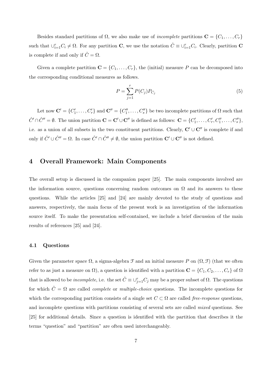Besides standard partitions of  $\Omega$ , we also make use of *incomplete* partitions  $\mathbf{C} = \{C_1, \ldots, C_r\}$ such that  $\cup_{i=1}^{r} C_i \neq \Omega$ . For any partition **C**, we use the notation  $\hat{C} \equiv \cup_{i=1}^{r} C_i$ . Clearly, partition **C** is complete if and only if  $\hat{C} = \Omega$ .

Given a complete partition  $\mathbf{C} = \{C_1, \ldots, C_r\}$ , the (initial) measure P can be decomposed into the corresponding conditional measures as follows.

$$
P = \sum_{j=1}^{r} P(C_j) P_{C_j}
$$
 (5)

Let now  $\mathbf{C}' = \{C'_1, \ldots, C'_r\}$  and  $\mathbf{C}'' = \{C''_1, \ldots, C''_s\}$  be two incomplete partitions of  $\Omega$  such that  $\hat{C}' \cap \hat{C}'' = \emptyset$ . The union partition  $\mathbf{C} = \mathbf{C}' \cup \mathbf{C}''$  is defined as follows:  $\mathbf{C} = \{C'_1, \dots, C'_r, C''_1, \dots, C''_s\}$ , i.e. as a union of all subsets in the two constituent partitions. Clearly, **C***′ ∪* **C***′′* is complete if and only if  $\hat{C}' \cup \hat{C}'' = \Omega$ . In case  $\hat{C}' \cap \hat{C}'' \neq \emptyset$ , the union partition  $\mathbf{C}' \cup \mathbf{C}''$  is not defined.

## **4 Overall Framework: Main Components**

The overall setup is discussed in the companion paper [25]. The main components involved are the information source, questions concerning random outcomes on  $\Omega$  and its answers to these questions. While the articles [25] and [24] are mainly devoted to the study of questions and answers, respectively, the main focus of the present work is an investigation of the information source itself. To make the presentation self-contained, we include a brief discussion of the main results of references [25] and [24].

#### **4.1 Questions**

Given the parameter space  $\Omega$ , a sigma-algebra  $\mathcal F$  and an initial measure  $P$  on  $(\Omega, \mathcal F)$  (that we often refer to as just a measure on  $\Omega$ ), a question is identified with a partition  $\mathbf{C} = \{C_1, C_2, \ldots, C_r\}$  of  $\Omega$ that is allowed to be *incomplete*, i.e. the set  $\hat{C} \equiv \cup_{j=1}^r C_j$  may be a proper subset of  $\Omega$ . The questions for which  $\hat{C} = \Omega$  are called *complete* or *multiple-choice* questions. The incomplete questions for which the corresponding partition consists of a single set  $C \subset \Omega$  are called *free-response* questions, and incomplete questions with partitions consisting of several sets are called *mixed* questions. See [25] for additional details. Since a question is identified with the partition that describes it the terms "question" and "partition" are often used interchangeably.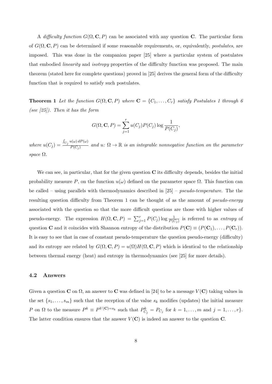A *difficulty function*  $G(\Omega, \mathbf{C}, P)$  can be associated with any question **C**. The particular form of *G*(Ω*,* **C***, P*) can be determined if some reasonable requirements, or, equivalently, *postulates*, are imposed. This was done in the companion paper [25] where a particular system of postulates that embodied *linearity* and *isotropy* properties of the difficulty function was proposed. The main theorem (stated here for complete questions) proved in [25] derives the general form of the difficulty function that is required to satisfy such postulates.

**Theorem 1** Let the function  $G(\Omega, \mathbf{C}, P)$  where  $\mathbf{C} = \{C_1, \ldots, C_r\}$  satisfy Postulates 1 through 6 *(see [25]). Then it has the form*

$$
G(\Omega, \mathbf{C}, P) = \sum_{j=1}^{r} u(C_j) P(C_j) \log \frac{1}{P(C_j)},
$$

*where*  $u(C_j) =$  $\int_{C_j} u(\omega) dP(\omega)$  $\overline{P(C_j)}$  and  $u: \Omega \to \mathbb{R}$  is an integrable nonnegative function on the parameter *space* Ω*.*

We can see, in particular, that for the given question **C** its difficulty depends, besides the initial probability measure *P*, on the function  $u(\omega)$  defined on the parameter space  $\Omega$ . This function can be called – using parallels with thermodynamics described in [25] – *pseudo-temperature*. The the resulting question difficulty from Theorem 1 can be thought of as the amount of *pseudo-energy* associated with the question so that the more difficult questions are those with higher values of pseudo-energy. The expression  $H(\Omega, \mathbf{C}, P) = \sum_{j=1}^{r} P(C_j) \log \frac{1}{P(C_j)}$  is referred to as *entropy* of question **C** and it coincides with Shannon entropy of the distribution  $P(\mathbf{C}) \equiv (P(\mathbf{C}_1), \ldots, P(\mathbf{C}_r)).$ It is easy to see that in case of constant pseudo-temperature the question pseudo-energy (difficulty) and its entropy are related by  $G(\Omega, \mathbf{C}, P) = u(\Omega)H(\Omega, \mathbf{C}, P)$  which is identical to the relationship between thermal energy (heat) and entropy in thermodynamics (see [25] for more details).

#### **4.2 Answers**

Given a question **C** on  $\Omega$ , an answer to **C** was defined in [24] to be a message  $V(\mathbf{C})$  taking values in the set  $\{s_1, \ldots, s_m\}$  such that the reception of the value  $s_k$  modifies (updates) the initial measure P on  $\Omega$  to the measure  $P^k \equiv P^{V(\mathbf{C})=s_k}$  such that  $P^k_{C_j} = P_{C_j}$  for  $k = 1, \ldots, m$  and  $j = 1, \ldots, r$ . The latter condition ensures that the answer  $V(\mathbf{C})$  is indeed an answer to the question  $\mathbf{C}$ .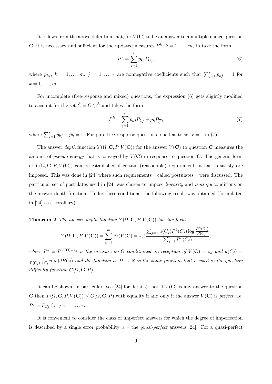It follows from the above definition that, for  $V(\mathbf{C})$  to be an answer to a multiple-choice question **C**, it is necessary and sufficient for the updated measures  $P^k$ ,  $k = 1, \ldots, m$ , to take the form

$$
P^k = \sum_{j=1}^r p_{kj} P_{C_j},\tag{6}
$$

where  $p_{kj}$ ,  $k = 1, \ldots, m$ ,  $j = 1, \ldots, r$  are nonnegative coefficients such that  $\sum_{j=1}^{r} p_{kj} = 1$  for  $k = 1, \ldots, m$ .

For incomplete (free-response and mixed) questions, the expression (6) gets slightly modified to account for the set  $\overline{\hat{C}} = \Omega \setminus \hat{C}$  and takes the form

$$
P^k = \sum_{j=1}^r p_{kj} P_{C_j} + \bar{p}_k P_{\overline{\hat{C}}},\tag{7}
$$

where  $\sum_{j=1}^{r} p_{kj} + \bar{p}_k = 1$ . For pure free-response questions, one has to set  $r = 1$  in (7).

The answer *depth* function  $Y(\Omega, \mathbf{C}, P, V(\mathbf{C}))$  for the answer  $V(\mathbf{C})$  to question **C** measures the amount of *pseudo-energy* that is conveyed by  $V(\mathbf{C})$  in response to question **C**. The general form of  $Y(\Omega, \mathbf{C}, P, V(\mathbf{C}))$  can be established if certain (reasonable) requirements it has to satisfy are imposed. This was done in [24] where such requirements – called postulates – were discussed. The particular set of postulates used in [24] was chosen to impose *linearity* and *isotropy* conditions on the answer depth function. Under these conditions, the following result was obtained (formulated in [24] as a corollary).

**Theorem 2** *The answer depth function*  $Y(\Omega, \mathbf{C}, P, V(\mathbf{C}))$  *has the form* 

$$
Y(\Omega, \mathbf{C}, P, V(\mathbf{C})) = \sum_{k=1}^{m} \Pr(V(\mathbf{C}) = s_k) \frac{\sum_{j=1}^{r} u(C_j) P^k(C_j) \log \frac{P^k(C_j)}{P(C_j)}}{\sum_{j=1}^{r} P^k(C_j)},
$$

where  $P^k \equiv P^{V(\mathbf{C})=s_k}$  is the measure on  $\Omega$  conditioned on reception of  $V(\mathbf{C})=s_k$  and  $u(C_j)=v_j$ 1  $\frac{1}{P(C_j)}\int_{C_j}u(\omega)dP(\omega)$  and the function  $u\colon\Omega\to\mathbb{R}$  is the same function that is used in the question  $difficulty function G(\Omega, \mathbf{C}, P)$ .

It can be shown, in particular (see [24] for details) that if  $V(\mathbf{C})$  is any answer to the question **C** then  $Y(\Omega, \mathbf{C}, P, V(\mathbf{C})) \leq G(\Omega, \mathbf{C}, P)$  with equality if and only if the answer  $V(\mathbf{C})$  is *perfect*, i.e.  $P^j = P_{C_j}$  for  $j = 1, ..., r$ .

It is convenient to consider the class of imperfect answers for which the degree of imperfection is described by a single error probability  $\alpha$  – the *quasi-perfect* answers [24]. For a quasi-perfect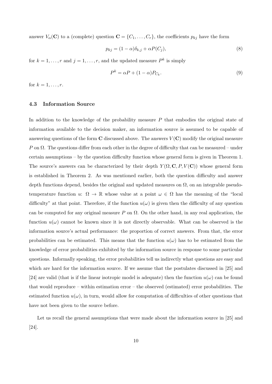answer  $V_\alpha(\mathbf{C})$  to a (complete) question  $\mathbf{C} = \{C_1, \ldots, C_r\}$ , the coefficients  $p_{kj}$  have the form

$$
p_{kj} = (1 - \alpha)\delta_{k,j} + \alpha P(C_j),\tag{8}
$$

for  $k = 1, \ldots, r$  and  $j = 1, \ldots, r$ , and the updated measure  $P^k$  is simply

$$
P^k = \alpha P + (1 - \alpha) P_{C_k}.
$$
\n<sup>(9)</sup>

for  $k = 1, ..., r$ .

## **4.3 Information Source**

In addition to the knowledge of the probability measure *P* that embodies the original state of information available to the decision maker, an information source is assumed to be capable of answering questions of the form  $\bf{C}$  discussed above. The answers  $V(\bf{C})$  modify the original measure *P* on  $\Omega$ . The questions differ from each other in the degree of difficulty that can be measured – under certain assumptions – by the question difficulty function whose general form is given in Theorem 1. The source's answers can be characterized by their depth  $Y(\Omega, \mathbf{C}, P, V(\mathbf{C}))$  whose general form is established in Theorem 2. As was mentioned earlier, both the question difficulty and answer depth functions depend, besides the original and updated measures on  $\Omega$ , on an integrable pseudotemperature function *u*:  $\Omega \to \mathbb{R}$  whose value at a point  $\omega \in \Omega$  has the meaning of the "local difficulty" at that point. Therefore, if the function  $u(\omega)$  is given then the difficulty of any question can be computed for any original measure  $P$  on  $\Omega$ . On the other hand, in any real application, the function  $u(\omega)$  cannot be known since it is not directly observable. What can be observed is the information source's actual performance: the proportion of correct answers. From that, the error probabilities can be estimated. This means that the function  $u(\omega)$  has to be estimated from the knowledge of error probabilities exhibited by the information source in response to some particular questions. Informally speaking, the error probabilities tell us indirectly what questions are easy and which are hard for the information source. If we assume that the postulates discussed in [25] and [24] are valid (that is if the linear isotropic model is adequate) then the function  $u(\omega)$  can be found that would reproduce – within estimation error – the observed (estimated) error probabilities. The estimated function  $u(\omega)$ , in turn, would allow for computation of difficulties of other questions that have not been given to the source before.

Let us recall the general assumptions that were made about the information source in [25] and [24].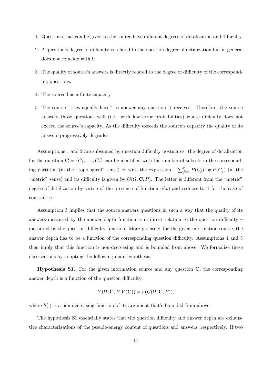- 1. Questions that can be given to the source have different degrees of detalization and difficulty.
- 2. A question's degree of difficulty is related to the question degree of detalization but in general does not coincide with it.
- 3. The quality of source's answers is directly related to the degree of difficulty of the corresponding questions.
- 4. The source has a finite capacity.
- 5. The source "tries equally hard" to answer any question it receives. Therefore, the source answers those questions well (i.e. with low error probabilities) whose difficulty does not exceed the source's capacity. As the difficulty exceeds the source's capacity the quality of its answers progressively degrades.

Assumptions 1 and 2 are subsumed by question difficulty postulates: the degree of detalization for the question  $\mathbf{C} = \{C_1, \ldots, C_r\}$  can be identified with the number of subsets in the corresponding partition (in the "topological" sense) or with the expression  $-\sum_{j=1}^{r} P(C_j) \log P(C_j)$  (in the "metric" sense) and its difficulty is given by  $G(\Omega, \mathbf{C}, P)$ . The latter is different from the "metric" degree of detalization by virtue of the presence of function  $u(\omega)$  and reduces to it for the case of constant *u*.

Assumption 3 implies that the source answers questions in such a way that the quality of its answers measured by the answer depth function is in direct relation to the question difficulty – measured by the question difficulty function. More precisely, for the given information source, the answer depth has to be a function of the corresponding question difficulty. Assumptions 4 and 5 then imply that this function is non-decreasing and is bounded from above. We formalize these observations by adapting the following main hypothesis.

**Hypothesis S1**. For the given information source and any question **C**, the corresponding answer depth is a function of the question difficulty:

$$
Y(\Omega, \mathbf{C}, P, V(\mathbf{C})) = h(G(\Omega, \mathbf{C}, P)),
$$

where  $h(\cdot)$  is a non-decreasing function of its argument that's bounded from above.

The hypothesis S1 essentially states that the question difficulty and answer depth are exhaustive characterizations of the pseudo-energy content of questions and answers, respectively. If two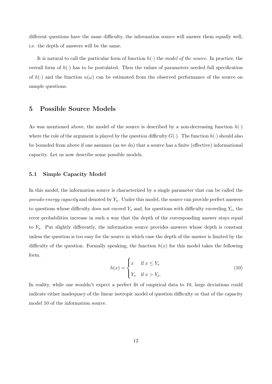different questions have the same difficulty, the information source will answer them equally well, i.e. the depth of answers will be the same.

It is natural to call the particular form of function  $h(\cdot)$  the *model of the source*. In practice, the overall form of  $h(\cdot)$  has to be postulated. Then the values of parameters needed full specification of  $h(\cdot)$  and the function  $u(\omega)$  can be estimated from the observed performance of the source on sample questions.

# **5 Possible Source Models**

As was mentioned above, the model of the source is described by a non-decreasing function  $h(\cdot)$ where the role of the argument is played by the question difficulty  $G(\cdot)$ . The function  $h(\cdot)$  should also be bounded from above if one assumes (as we do) that a source has a finite (effective) informational capacity. Let us now describe some possible models.

### **5.1 Simple Capacity Model**

In this model, the information source is characterized by a single parameter that can be called the *pseudo-energy capacity* and denoted by *Ys*. Under this model, the source can provide perfect answers to questions whose difficulty does not exceed  $Y_s$  and, for questions with difficulty exceeding  $Y_s$ , the error probabilities increase in such a way that the depth of the corresponding answer stays equal to *Ys*. Put slightly differently, the information source provides answers whose depth is constant unless the question is too easy for the source in which case the depth of the answer is limited by the difficulty of the question. Formally speaking, the function  $h(x)$  for this model takes the following form.

$$
h(x) = \begin{cases} x & \text{if } x \le Y_s \\ Y_s & \text{if } x > Y_s. \end{cases}
$$
 (10)

In reality, while one wouldn't expect a perfect fit of empirical data to 10, large deviations could indicate either inadequacy of the linear isotropic model of question difficulty or that of the capacity model 10 of the information source.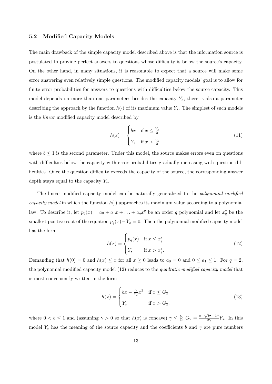#### **5.2 Modified Capacity Models**

The main drawback of the simple capacity model described above is that the information source is postulated to provide perfect answers to questions whose difficulty is below the source's capacity. On the other hand, in many situations, it is reasonable to expect that a source will make some error answering even relatively simple questions. The modified capacity models' goal is to allow for finite error probabilities for answers to questions with difficulties below the source capacity. This model depends on more than one parameter: besides the capacity *Ys*, there is also a parameter describing the approach by the function  $h(\cdot)$  of its maximum value  $Y_s$ . The simplest of such models is the *linear* modified capacity model described by

$$
h(x) = \begin{cases} bx & \text{if } x \le \frac{Y_s}{b} \\ Y_s & \text{if } x > \frac{Y_s}{b} . \end{cases}
$$
 (11)

where  $b \leq 1$  is the second parameter. Under this model, the source makes errors even on questions with difficulties below the capacity with error probabilities gradually increasing with question difficulties. Once the question difficulty exceeds the capacity of the source, the corresponding answer depth stays equal to the capacity *Ys*.

The linear modified capacity model can be naturally generalized to the *polynomial modified capacity model* in which the function  $h(\cdot)$  approaches its maximum value according to a polynomial law. To describe it, let  $p_q(x) = a_0 + a_1x + \ldots + a_qx^q$  be an order *q* polynomial and let  $x_q^*$  be the smallest positive root of the equation  $p_q(x) - Y_s = 0$ . Then the polynomial modified capacity model has the form

$$
h(x) = \begin{cases} p_q(x) & \text{if } x \le x_q^* \\ Y_s & \text{if } x > x_q^* . \end{cases}
$$
 (12)

Demanding that  $h(0) = 0$  and  $h(x) \le x$  for all  $x \ge 0$  leads to  $a_0 = 0$  and  $0 \le a_1 \le 1$ . For  $q = 2$ , the polynomial modified capacity model (12) reduces to the *quadratic modified capacity model* that is most conveniently written in the form

$$
h(x) = \begin{cases} bx - \frac{\gamma}{Y_s} x^2 & \text{if } x \le G_2 \\ Y_s & \text{if } x > G_2, \end{cases}
$$
 (13)

where  $0 < b \leq 1$  and (assuming  $\gamma > 0$  so that  $h(x)$  is concave)  $\gamma \leq \frac{b}{4}$  $\frac{b}{4}$ ;  $G_2 = \frac{b - \sqrt{b^2 - 4\gamma}}{2\gamma}$  $\frac{\partial^{2}Q}{\partial \gamma}Y_s$ . In this model  $Y_s$  has the meaning of the source capacity and the coefficients *b* and  $\gamma$  are pure numbers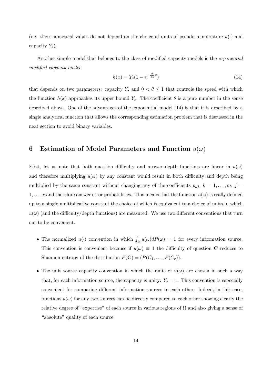(i.e. their numerical values do not depend on the choice of units of pseudo-temperature  $u(\cdot)$  and capacity *Ys*).

Another simple model that belongs to the class of modified capacity models is the *exponential modified capacity model*

$$
h(x) = Y_s(1 - e^{-\frac{\theta}{Y_s}x})
$$
\n(14)

that depends on two parameters: capacity  $Y_s$  and  $0 < \theta \leq 1$  that controls the speed with which the function  $h(x)$  approaches its upper bound  $Y_s$ . The coefficient  $\theta$  is a pure number in the sense described above. One of the advantages of the exponential model (14) is that it is described by a single analytical function that allows the corresponding estimation problem that is discussed in the next section to avoid binary variables.

# **6** Estimation of Model Parameters and Function  $u(\omega)$

First, let us note that both question difficulty and answer depth functions are linear in  $u(\omega)$ and therefore multiplying  $u(\omega)$  by any constant would result in both difficulty and depth being multiplied by the same constant without changing any of the coefficients  $p_{kj}$ ,  $k = 1, \ldots, m, j =$ 1, ..., r and therefore answer error probabilities. This means that the function  $u(\omega)$  is really defined up to a single multiplicative constant the choice of which is equivalent to a choice of units in which  $u(\omega)$  (and the difficulty/depth functions) are measured. We use two different conventions that turn out to be convenient.

- The normalized  $u(\cdot)$  convention in which  $\int_{\Omega} u(\omega) dP(\omega) = 1$  for every information source. This convention is convenient because if  $u(\omega) \equiv 1$  the difficulty of question **C** reduces to Shannon entropy of the distribution  $P(\mathbf{C}) = (P(C_1, \ldots, P(C_r)).$
- The unit source capacity convention in which the units of  $u(\omega)$  are chosen in such a way that, for each information source, the capacity is unity:  $Y_s = 1$ . This convention is especially convenient for comparing different information sources to each other. Indeed, in this case, functions  $u(\omega)$  for any two sources can be directly compared to each other showing clearly the relative degree of "expertise" of each source in various regions of  $\Omega$  and also giving a sense of "absolute" quality of each source.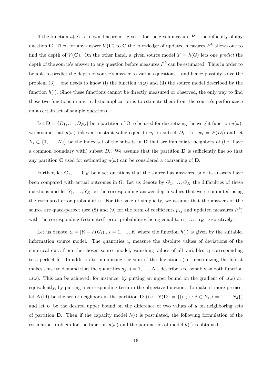If the function  $u(\omega)$  is known Theorem 1 gives – for the given measure  $P$  – the difficulty of any question **C**. Then for any answer  $V(\mathbf{C})$  to **C** the knowledge of updated measures  $P^k$  allows one to find the depth of  $V(\mathbf{C})$ . On the other hand, a given source model  $Y = h(G)$  lets one *predict* the depth of the source's answer to any question before measures *P k* can be estimated. Thus in order to be able to predict the depth of source's answer to various questions – and hence possibly solve the problem (3) – one needs to know (i) the function  $u(\omega)$  and (ii) the source model described by the function  $h(\cdot)$ . Since these functions cannot be directly measured or observed, the only way to find these two functions in any realistic application is to estimate them from the source's performance on a certain set of sample questions.

Let  $\mathbf{D} = \{D_1, \ldots, D_{N_d}\}$  be a partition of  $\Omega$  to be used for discretizing the weight function  $u(\omega)$ : we assume that  $u(\omega)$  takes a constant value equal to  $u_i$  on subset  $D_i$ . Let  $w_i = P(D_i)$  and let  $\mathcal{N}_i \subset \{1, \ldots, N_d\}$  be the index set of the subsets in **D** that are immediate neighbors of (i.e. have a common boundary with) subset  $D_i$ . We assume that the partition **D** is sufficiently fine so that any partition **C** used for estimating  $u(\omega)$  can be considered a coarsening of **D**.

Further, let  $C_1, \ldots, C_K$  be a set questions that the source has answered and its answers have been compared with actual outcomes in  $\Omega$ . Let us denote by  $G_1, \ldots, G_K$  the difficulties of these questions and let  $Y_1, \ldots, Y_K$  be the corresponding answer depth values that were computed using the estimated error probabilities. For the sake of simplicity, we assume that the answers of the source are quasi-perfect (see (8) and (9) for the form of coefficients  $p_{kj}$  and updated measures  $P^k$ ) with the corresponding (estimated) error probabilities being equal to  $\alpha_1, \ldots, \alpha_K$ , respectively.

Let us denote  $z_i = |Y_i - h(G_i)|$ ,  $i = 1, ..., K$  where the function  $h(\cdot)$  is given by the suitablei information source model. The quantities  $z_i$  measure the absolute values of deviations of the empirical data from the chosen source model, vanishing values of all variables *z<sup>i</sup>* corresponding to a perfect fit. In addition to minimizing the sum of the deviations (i.e. maximizing the fit), it makes sense to demand that the quantities  $u_j$ ,  $j = 1, \ldots, N_d$ , describe a reasonably smooth function  $u(\omega)$ . This can be achieved, for instance, by putting an upper bound on the gradient of  $u(\omega)$  or, equivalently, by putting a corresponding term in the objective function. To make it more precise, let  $N(\mathbf{D})$  be the set of neighbors in the partition  $\mathbf{D}$  (i.e.  $N(\mathbf{D}) = \{(i, j) : j \in \mathcal{N}_i, i = 1, \ldots N_d\}$ ) and let *U* be the desired upper bound on the difference of two values of *u* on neighboring sets of partition **D**. Then if the capacity model  $h(\cdot)$  is postulated, the following formulation of the estimation problem for the function  $u(\omega)$  and the parameters of model  $h(\cdot)$  is obtained.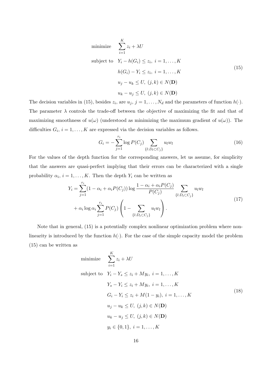minimize 
$$
\sum_{i=1}^{K} z_i + \lambda U
$$
  
subject to  $Y_i - h(G_i) \le z_i, i = 1,..., K$   

$$
h(G_i) - Y_i \le z_i, i = 1,..., K
$$
  

$$
u_j - u_k \le U, (j, k) \in N(\mathbf{D})
$$
  

$$
u_k - u_j \le U, (j, k) \in N(\mathbf{D})
$$

The decision variables in (15), besides  $z_i$ , are  $u_j$ ,  $j = 1, \ldots, N_d$  and the parameters of function  $h(\cdot)$ . The parameter  $\lambda$  controls the trade-off between the objective of maximizing the fit and that of maximizing smoothness of  $u(\omega)$  (understood as minimizing the maximum gradient of  $u(\omega)$ ). The difficulties  $G_i$ ,  $i = 1, \ldots, K$  are expressed via the decision variables as follows.

$$
G_i = -\sum_{j=1}^{r_i} \log P(C_j) \sum_{\{l: D_l \subset C_j\}} u_l w_l \tag{16}
$$

For the values of the depth function for the corresponding answers, let us assume, for simplicity that the answers are quasi-perfect implying that their errors can be characterized with a single probability  $\alpha_i$ ,  $i = 1, ..., K$ . Then the depth  $Y_i$  can be written as

$$
Y_i = \sum_{j=1}^{r_i} (1 - \alpha_i + \alpha_i P(C_j)) \log \frac{1 - \alpha_i + \alpha_i P(C_j)}{P(C_j)} \sum_{\{l : D_l \subset C_j\}} u_l w_l + \alpha_i \log \alpha_i \sum_{j=1}^{r_i} P(C_j) \left(1 - \sum_{\{l : D_l \subset C_j\}} u_l w_l\right).
$$
\n(17)

Note that in general, (15) is a potentially complex nonlinear optimization problem where nonlinearity is introduced by the function  $h(\cdot)$ . For the case of the simple capacity model the problem (15) can be written as

minimize 
$$
\sum_{i=1}^{K} z_i + \lambda U
$$
  
\nsubject to  $Y_i - Y_s \le z_i + My_i$ ,  $i = 1, ..., K$   
\n $Y_s - Y_i \le z_i + My_i$ ,  $i = 1, ..., K$   
\n $G_i - Y_i \le z_i + M(1 - y_i)$ ,  $i = 1, ..., K$   
\n $u_j - u_k \le U$ ,  $(j, k) \in N(\mathbf{D})$   
\n $u_k - u_j \le U$ ,  $(j, k) \in N(\mathbf{D})$   
\n $y_i \in \{0, 1\}$ ,  $i = 1, ..., K$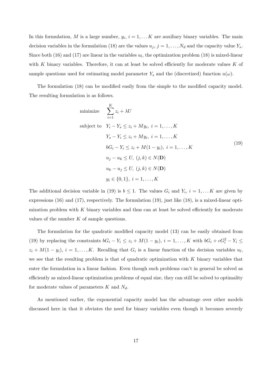In this formulation, *M* is a large number,  $y_i$ ,  $i = 1, \ldots K$  are auxiliary binary variables. The main decision variables in the formulation (18) are the values  $u_j$ ,  $j = 1, \ldots, N_d$  and the capacity value  $Y_s$ . Since both  $(16)$  and  $(17)$  are linear in the variables  $u_l$ , the optimization problem  $(18)$  is mixed-linear with *K* binary variables. Therefore, it can at least be solved efficiently for moderate values *K* of sample questions used for estimating model parameter  $Y_s$  and the (discretized) function  $u(\omega)$ .

The formulation (18) can be modified easily from the simple to the modified capacity model. The resulting formulation is as follows.

minimize 
$$
\sum_{i=1}^{K} z_i + \lambda U
$$
  
\nsubject to  $Y_i - Y_s \le z_i + My_i, i = 1,..., K$   
\n $Y_s - Y_i \le z_i + My_i, i = 1,..., K$   
\n $bG_i - Y_i \le z_i + M(1 - y_i), i = 1,..., K$   
\n $u_j - u_k \le U, (j, k) \in N(\mathbf{D})$   
\n $u_k - u_j \le U, (j, k) \in N(\mathbf{D})$   
\n $y_i \in \{0, 1\}, i = 1, ..., K$ 

The additional decision variable in (19) is  $b \leq 1$ . The values  $G_i$  and  $Y_i$ ,  $i = 1, \ldots K$  are given by expressions (16) and (17), respectively. The formulation (19), just like (18), is a mixed-linear optimization problem with *K* binary variables and thus can at least be solved efficiently for moderate values of the number *K* of sample questions.

The formulation for the quadratic modified capacity model (13) can be easily obtained from (19) by replacing the constraints  $bG_i - Y_i \le z_i + M(1 - y_i)$ ,  $i = 1, ..., K$  with  $bG_i + cG_i^2 - Y_i \le$  $z_i + M(1 - y_i)$ ,  $i = 1, \ldots, K$ . Recalling that  $G_i$  is a linear function of the decision variables  $u_l$ , we see that the resulting problem is that of quadratic optimization with *K* binary variables that enter the formulation in a linear fashion. Even though such problems can't in general be solved as efficiently as mixed-linear optimization problems of equal size, they can still be solved to optimality for moderate values of parameters *K* and *Nd*.

As mentioned earlier, the exponential capacity model has the advantage over other models discussed here in that it obviates the need for binary variables even though it becomes severely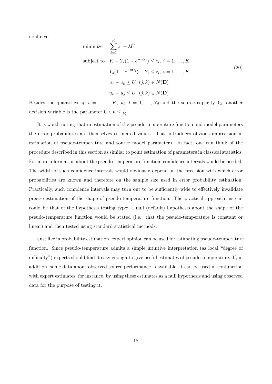nonlinear:

minimize 
$$
\sum_{i=1}^{K} z_i + \lambda U
$$
  
\nsubject to  $Y_i - Y_s(1 - e^{-\theta G_i}) \le z_i, i = 1,..., K$   
\n $Y_s(1 - e^{-\theta G_i}) - Y_i \le z_i, i = 1,..., K$   
\n $u_j - u_k \le U, (j, k) \in N(\mathbf{D})$   
\n $u_k - u_j \le U, (j, k) \in N(\mathbf{D})$ 

Besides the quantities  $z_i$ ,  $i = 1, ..., K$ ,  $u_l$ ,  $l = 1, ..., N_d$  and the source capacity  $Y_s$ , another decision variable is the parameter  $0 < \theta \leq \frac{1}{Y}$  $\frac{1}{Y_s}$ .

It is worth noting that in estimation of the pseudo-temperature function and model parameters the error probabilities are themselves estimated values. That introduces obvious imprecision in estimation of pseudo-temperature and source model parameters. In fact, one can think of the procedure described in this section as similar to point estimation of parameters in classical statistics. For more information about the pseudo-temperature function, confidence intervals would be needed. The width of such confidence intervals would obviously depend on the precision with which error probabilities are known and therefore on the sample size used in error probability estimation. Practically, such confidence intervals may turn out to be sufficiently wide to effectively invalidate precise estimation of the shape of pseudo-temperature function. The practical approach instead could be that of the hypothesis testing type: a null (default) hypothesis about the shape of the pseudo-temperature function would be stated (i.e. that the pseudo-temperature is constant or linear) and then tested using standard statistical methods.

Just like in probability estimation, expert opinion can be used for estimating pseudo-temperature function. Since pseudo-temperature admits a simple intuitive interpretation (as local "degree of difficulty") experts should find it easy enough to give useful estimates of pseudo-temperature. If, in addition, some data about observed source performance is available, it can be used in conjunction with expert estimates, for instance, by using these estimates as a null hypothesis and using observed data for the purpose of testing it.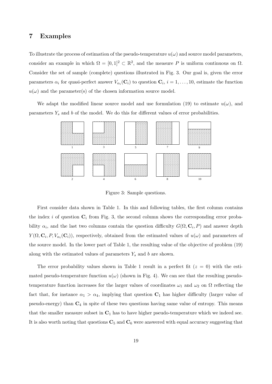## **7 Examples**

To illustrate the process of estimation of the pseudo-temperature  $u(\omega)$  and source model parameters, consider an example in which  $\Omega = [0,1]^2 \subset \mathbb{R}^2$ , and the measure *P* is uniform continuous on  $\Omega$ . Consider the set of sample (complete) questions illustrated in Fig. 3. Our goal is, given the error parameters  $\alpha_i$  for quasi-perfect answer  $V_{\alpha_i}(\mathbf{C}_i)$  to question  $\mathbf{C}_i$ ,  $i = 1, \ldots, 10$ , estimate the function  $u(\omega)$  and the parameter(s) of the chosen information source model.

We adapt the modified linear source model and use formulation (19) to estimate  $u(\omega)$ , and parameters  $Y_s$  and  $b$  of the model. We do this for different values of error probabilities.



Figure 3: Sample questions.

First consider data shown in Table 1. In this and following tables, the first column contains the index *i* of question  $C_i$  from Fig. 3, the second column shows the corresponding error probability  $\alpha_i$ , and the last two columns contain the question difficulty  $G(\Omega, \mathbf{C}_i, P)$  and answer depth *Y*( $\Omega$ ,  $\mathbf{C}_i$ ,  $P$ ,  $V_{\alpha_i}(\mathbf{C}_i)$ ), respectively, obtained from the estimated values of  $u(\omega)$  and parameters of the source model. In the lower part of Table 1, the resulting value of the objective of problem (19) along with the estimated values of parameters *Y<sup>s</sup>* and *b* are shown.

The error probability values shown in Table 1 result in a perfect fit  $(z = 0)$  with the estimated pseudo-temperature function  $u(\omega)$  (shown in Fig. 4). We can see that the resulting pseudotemperature function increases for the larger values of coordinates  $\omega_1$  and  $\omega_2$  on  $\Omega$  reflecting the fact that, for instance  $\alpha_1 > \alpha_4$ , implying that question  $\mathbf{C}_1$  has higher difficulty (larger value of pseudo-energy) than **C**<sup>4</sup> in spite of these two questions having same value of entropy. This means that the smaller measure subset in  $C_1$  has to have higher pseudo-temperature which we indeed see. It is also worth noting that questions  $C_5$  and  $C_6$  were answered with equal accuracy suggesting that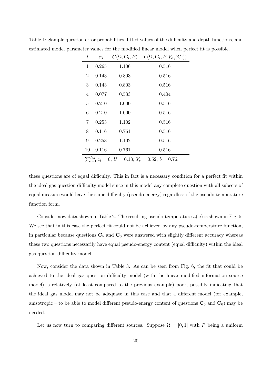| $\dot{i}$                                                   | $\alpha_i$ |       | $G(\Omega, \mathbf{C}_i, P)$ $Y(\Omega, \mathbf{C}_i, P, V_{\alpha_i}(\mathbf{C}_i))$ |
|-------------------------------------------------------------|------------|-------|---------------------------------------------------------------------------------------|
| 1                                                           | 0.265      | 1.106 | 0.516                                                                                 |
| $\overline{2}$                                              | 0.143      | 0.803 | 0.516                                                                                 |
| 3                                                           | 0.143      | 0.803 | 0.516                                                                                 |
| $\overline{4}$                                              | 0.077      | 0.533 | 0.404                                                                                 |
| $\overline{5}$                                              | 0.210      | 1.000 | 0.516                                                                                 |
| 6                                                           | 0.210      | 1.000 | 0.516                                                                                 |
| 7                                                           | 0.253      | 1.102 | 0.516                                                                                 |
| 8                                                           | 0.116      | 0.761 | 0.516                                                                                 |
| 9                                                           | 0.253      | 1.102 | 0.516                                                                                 |
| 10                                                          | 0.116      | 0.761 | 0.516                                                                                 |
| $\sum_{i=1}^{N_d} z_i = 0; U = 0.13; Y_s = 0.52; b = 0.76.$ |            |       |                                                                                       |

Table 1: Sample question error probabilities, fitted values of the difficulty and depth functions, and estimated model parameter values for the modified linear model when perfect fit is possible.

these questions are of equal difficulty. This in fact is a necessary condition for a perfect fit within the ideal gas question difficulty model since in this model any complete question with all subsets of equal measure would have the same difficulty (pseudo-energy) regardless of the pseudo-temperature function form.

Consider now data shown in Table 2. The resulting pseudo-temperature  $u(\omega)$  is shown in Fig. 5. We see that in this case the perfect fit could not be achieved by any pseudo-temperature function, in particular because questions  $\mathbf{C}_5$  and  $\mathbf{C}_6$  were answered with slightly different accuracy whereas these two questions necessarily have equal pseudo-energy content (equal difficulty) within the ideal gas question difficulty model.

Now, consider the data shown in Table 3. As can be seen from Fig. 6, the fit that could be achieved to the ideal gas question difficulty model (with the linear modified information source model) is relatively (at least compared to the previous example) poor, possibly indicating that the ideal gas model may not be adequate in this case and that a different model (for example, anisotropic – to be able to model different pseudo-energy content of questions  $\mathbf{C}_5$  and  $\mathbf{C}_6$ ) may be needed.

Let us now turn to comparing different sources. Suppose  $\Omega = [0, 1]$  with P being a uniform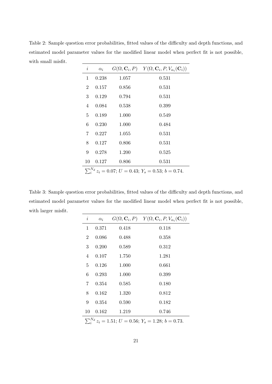Table 2: Sample question error probabilities, fitted values of the difficulty and depth functions, and estimated model parameter values for the modified linear model when perfect fit is not possible, with small misfit.

| $\dot{\imath}$                                               | $\alpha_i$ |       | $G(\Omega, \mathbf{C}_i, P)$ $Y(\Omega, \mathbf{C}_i, P, V_{\alpha_i}(\mathbf{C}_i))$ |
|--------------------------------------------------------------|------------|-------|---------------------------------------------------------------------------------------|
| 1                                                            | 0.238      | 1.057 | 0.531                                                                                 |
| $\overline{2}$                                               | 0.157      | 0.856 | 0.531                                                                                 |
| 3                                                            | 0.129      | 0.794 | 0.531                                                                                 |
| 4                                                            | 0.084      | 0.538 | 0.399                                                                                 |
| 5                                                            | 0.189      | 1.000 | 0.549                                                                                 |
| 6                                                            | 0.230      | 1.000 | 0.484                                                                                 |
| 7                                                            | 0.227      | 1.055 | 0.531                                                                                 |
| 8                                                            | 0.127      | 0.806 | 0.531                                                                                 |
| 9                                                            | 0.278      | 1.200 | 0.525                                                                                 |
| 10                                                           | 0.127      | 0.806 | 0.531                                                                                 |
| $\sum_{i}^{N_d} z_i = 0.07; U = 0.43; Y_s = 0.53; b = 0.74.$ |            |       |                                                                                       |

Table 3: Sample question error probabilities, fitted values of the difficulty and depth functions, and estimated model parameter values for the modified linear model when perfect fit is not possible, with larger misfit.

| $\it i$                                                    | $\alpha_i$ |       | $G(\Omega, \mathbf{C}_i, P)$ $Y(\Omega, \mathbf{C}_i, P, V_{\alpha_i}(\mathbf{C}_i))$ |
|------------------------------------------------------------|------------|-------|---------------------------------------------------------------------------------------|
| 1                                                          | 0.371      | 0.418 | 0.118                                                                                 |
| $\overline{2}$                                             | 0.086      | 0.488 | 0.358                                                                                 |
| 3                                                          | 0.200      | 0.589 | 0.312                                                                                 |
| 4                                                          | 0.107      | 1.750 | 1.281                                                                                 |
| 5                                                          | 0.126      | 1.000 | 0.661                                                                                 |
| 6                                                          | 0.293      | 1.000 | 0.399                                                                                 |
| 7                                                          | 0.354      | 0.585 | 0.180                                                                                 |
| 8                                                          | 0.162      | 1.320 | 0.812                                                                                 |
| 9                                                          | 0.354      | 0.590 | 0.182                                                                                 |
| 10                                                         | 0.162      | 1.219 | 0.746                                                                                 |
| $S_{.4}^{N_d} z_i = 1.51; U = 0.56; Y_s = 1.28; b = 0.73.$ |            |       |                                                                                       |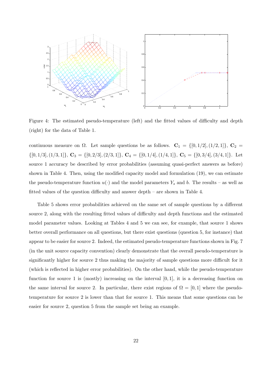

Figure 4: The estimated pseudo-temperature (left) and the fitted values of difficulty and depth (right) for the data of Table 1.

continuous measure on  $\Omega$ . Let sample questions be as follows.  $\mathbf{C}_1 = \{[0, 1/2], (1/2, 1]\}, \mathbf{C}_2 =$  $\{[0,1/3], (1/3,1]\}, \mathbf{C}_3 = \{[0,2/3], (2/3,1]\}, \mathbf{C}_4 = \{[0,1/4], (1/4,1]\}, \mathbf{C}_5 = \{[0,3/4], (3/4,1]\}.$  Let source 1 accuracy be described by error probabilities (assuming quasi-perfect answers as before) shown in Table 4. Then, using the modified capacity model and formulation (19), we can estimate the pseudo-temperature function  $u(\cdot)$  and the model parameters  $Y_s$  and *b*. The results – as well as fitted values of the question difficulty and answer depth – are shown in Table 4.

Table 5 shows error probabilities achieved on the same set of sample questions by a different source 2, along with the resulting fitted values of difficulty and depth functions and the estimated model parameter values. Looking at Tables 4 and 5 we can see, for example, that source 1 shows better overall performance on all questions, but there exist questions (question 5, for instance) that appear to be easier for source 2. Indeed, the estimated pseudo-temperature functions shown in Fig. 7 (in the unit source capacity convention) clearly demonstrate that the overall pseudo-temperature is significantly higher for source 2 thus making the majority of sample questions more difficult for it (which is reflected in higher error probabilities). On the other hand, while the pseudo-temperature function for source 1 is (mostly) increasing on the interval  $[0,1]$ , it is a decreasing function on the same interval for source 2. In particular, there exist regions of  $\Omega = [0, 1]$  where the pseudotemperature for source 2 is lower than that for source 1. This means that some questions can be easier for source 2, question 5 from the sample set being an example.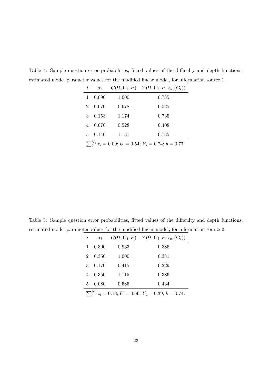| $\dot{i}$                                                    | $\alpha_i$ |       | $G(\Omega, \mathbf{C}_i, P)$ $Y(\Omega, \mathbf{C}_i, P, V_{\alpha_i}(\mathbf{C}_i))$ |
|--------------------------------------------------------------|------------|-------|---------------------------------------------------------------------------------------|
|                                                              | 0.090      | 1.000 | 0.735                                                                                 |
| $\mathcal{D}_{\mathcal{L}}$                                  | 0.070      | 0.678 | 0.525                                                                                 |
| 3                                                            | 0.153      | 1.174 | 0.735                                                                                 |
|                                                              | 0.070      | 0.528 | 0.408                                                                                 |
| 5.                                                           | 0.146      | 1.131 | 0.735                                                                                 |
| $\sum_{i}^{N_d} z_i = 0.09; U = 0.54; Y_s = 0.74; b = 0.77.$ |            |       |                                                                                       |

Table 4: Sample question error probabilities, fitted values of the difficulty and depth functions, estimated model parameter values for the modified linear model, for information source 1.

Table 5: Sample question error probabilities, fitted values of the difficulty and depth functions, estimated model parameter values for the modified linear model, for information source 2.

| i                                                              | $\alpha_i$ |       | $G(\Omega, \mathbf{C}_i, P)$ $Y(\Omega, \mathbf{C}_i, P, V_{\alpha_i}(\mathbf{C}_i))$ |
|----------------------------------------------------------------|------------|-------|---------------------------------------------------------------------------------------|
|                                                                | 0.300      | 0.933 | 0.386                                                                                 |
| 2                                                              | 0.350      | 1.000 | 0.331                                                                                 |
| 3                                                              | 0.170      | 0.415 | 0.229                                                                                 |
| 4                                                              | 0.350      | 1.115 | 0.386                                                                                 |
| 5                                                              | 0.080      | 0.585 | 0.434                                                                                 |
| $\sum_{i=1}^{N_d} z_i = 0.18; U = 0.56; Y_s = 0.39; b = 0.74.$ |            |       |                                                                                       |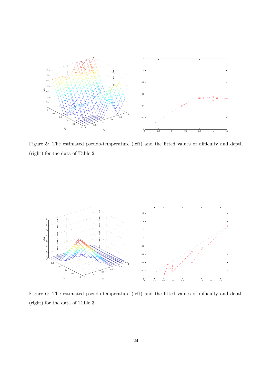

Figure 5: The estimated pseudo-temperature (left) and the fitted values of difficulty and depth (right) for the data of Table 2.



Figure 6: The estimated pseudo-temperature (left) and the fitted values of difficulty and depth (right) for the data of Table 3.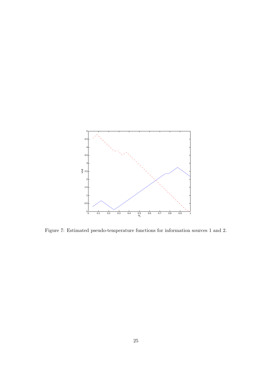

Figure 7: Estimated pseudo-temperature functions for information sources 1 and 2.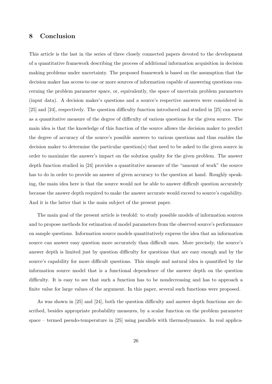# **8 Conclusion**

This article is the last in the series of three closely connected papers devoted to the development of a quantitative framework describing the process of additional information acquisition in decision making problems under uncertainty. The proposed framework is based on the assumption that the decision maker has access to one or more sources of information capable of answering questions concerning the problem parameter space, or, equivalently, the space of uncertain problem parameters (input data). A decision maker's questions and a source's respective answers were considered in [25] and [24], respectively. The question difficulty function introduced and studied in [25] can serve as a quantitative measure of the degree of difficulty of various questions for the given source. The main idea is that the knowledge of this function of the source allows the decision maker to predict the degree of accuracy of the source's possible answers to various questions and thus enables the decision maker to determine the particular question(s) that need to be asked to the given source in order to maximize the answer's impact on the solution quality for the given problem. The answer depth function studied in [24] provides a quantitative measure of the "amount of work" the source has to do in order to provide an answer of given accuracy to the question at hand. Roughly speaking, the main idea here is that the source would not be able to answer difficult question accurately because the answer depth required to make the answer accurate would exceed to source's capability. And it is the latter that is the main subject of the present paper.

The main goal of the present article is twofold: to study possible models of information sources and to propose methods for estimation of model parameters from the observed source's performance on sample questions. Information source models quantitatively express the idea that an information source can answer easy question more accurately than difficult ones. More precisely, the source's answer depth is limited just by question difficulty for questions that are easy enough and by the source's capability for more difficult questions. This simple and natural idea is quantified by the information source model that is a functional dependence of the answer depth on the question difficulty. It is easy to see that such a function has to be nondecreasing and has to approach a finite value for large values of the argument. In this paper, several such functions were proposed.

As was shown in [25] and [24], both the question difficulty and answer depth functions are described, besides appropriate probability measures, by a scalar function on the problem parameter space – termed pseudo-temperature in [25] using parallels with thermodynamics. In real applica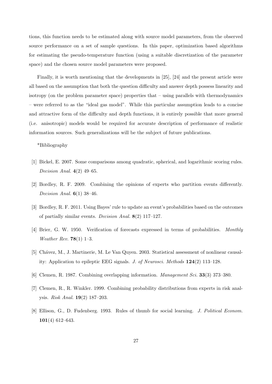tions, this function needs to be estimated along with source model parameters, from the observed source performance on a set of sample questions. In this paper, optimization based algorithms for estimating the pseudo-temperature function (using a suitable discretization of the parameter space) and the chosen source model parameters were proposed.

Finally, it is worth mentioning that the developments in [25], [24] and the present article were all based on the assumption that both the question difficulty and answer depth possess linearity and isotropy (on the problem parameter space) properties that – using parallels with thermodynamics – were referred to as the "ideal gas model". While this particular assumption leads to a concise and attractive form of the difficulty and depth functions, it is entirely possible that more general (i.e. anisotropic) models would be required for accurate description of performance of realistic information sources. Such generalizations will be the subject of future publications.

\*Bibliography

- [1] Bickel, E. 2007. Some comparisons among quadratic, spherical, and logarithmic scoring rules. *Decision Anal.* **4**(2) 49–65.
- [2] Bordley, R. F. 2009. Combining the opinions of experts who partition events differently. *Decision Anal.* **6**(1) 38–46.
- [3] Bordley, R. F. 2011. Using Bayes' rule to update an event's probabilities based on the outcomes of partially similar events. *Decision Anal.* **8**(2) 117–127.
- [4] Brier, G. W. 1950. Verification of forecasts expressed in terms of probabilities. *Monthly Weather Rev.* **78**(1) 1–3.
- [5] Chávez, M., J. Martinerie, M. Le Van Quyen. 2003. Statistical assessment of nonlinear causality: Application to epileptic EEG signals. *J. of Neurosci. Methods* **124**(2) 113–128.
- [6] Clemen, R. 1987. Combining overlapping information. *Management Sci.* **33**(3) 373–380.
- [7] Clemen, R., R. Winkler. 1999. Combining probability distributions from experts in risk analysis. *Risk Anal.* **19**(2) 187–203.
- [8] Ellison, G., D. Fudenberg. 1993. Rules of thumb for social learning. *J. Political Econom.* **101**(4) 612–643.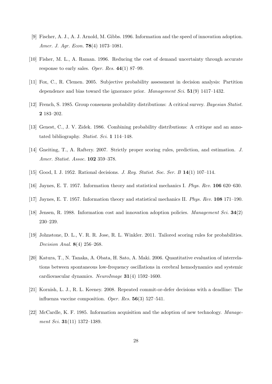- [9] Fischer, A. J., A. J. Arnold, M. Gibbs. 1996. Information and the speed of innovation adoption. *Amer. J. Agr. Econ.* **78**(4) 1073–1081.
- [10] Fisher, M. L., A. Raman. 1996. Reducing the cost of demand uncertainty through accurate response to early sales. *Oper. Res.* **44**(1) 87–99.
- [11] Fox, C., R. Clemen. 2005. Subjective probability assessment in decision analysis: Partition dependence and bias toward the ignorance prior. *Management Sci.* **51**(9) 1417–1432.
- [12] French, S. 1985. Group consensus probability distributions: A critical survey. *Bayesian Statist.* **2** 183–202.
- [13] Genest, C., J. V. Zidek. 1986. Combining probability distributions: A critique and an annotated bibliography. *Statist. Sci.* **1** 114–148.
- [14] Gneiting, T., A. Raftery. 2007. Strictly proper scoring rules, prediction, and estimation. *J. Amer. Statist. Assoc.* **102** 359–378.
- [15] Good, I. J. 1952. Rational decisions. *J. Roy. Statist. Soc. Ser. B* **14**(1) 107–114.
- [16] Jaynes, E. T. 1957. Information theory and statistical mechanics I. *Phys. Rev.* **106** 620–630.
- [17] Jaynes, E. T. 1957. Information theory and statistical mechanics II. *Phys. Rev.* **108** 171–190.
- [18] Jensen, R. 1988. Information cost and innovation adoption policies. *Management Sci.* **34**(2) 230–239.
- [19] Johnstone, D. L., V. R. R. Jose, R. L. Winkler. 2011. Tailored scoring rules for probabilities. *Decision Anal.* **8**(4) 256–268.
- [20] Katura, T., N. Tanaka, A. Obata, H. Sato, A. Maki. 2006. Quantitative evaluation of interrelations between spontaneous low-frequency oscillations in cerebral hemodynamics and systemic cardiovascular dynamics. *NeuroImage* **31**(4) 1592–1600.
- [21] Kornish, L. J., R. L. Keeney. 2008. Repeated commit-or-defer decisions with a deadline: The influenza vaccine composition. *Oper. Res.* **56**(3) 527–541.
- [22] McCardle, K. F. 1985. Information acquisition and the adoption of new technology. *Management Sci.* **31**(11) 1372–1389.